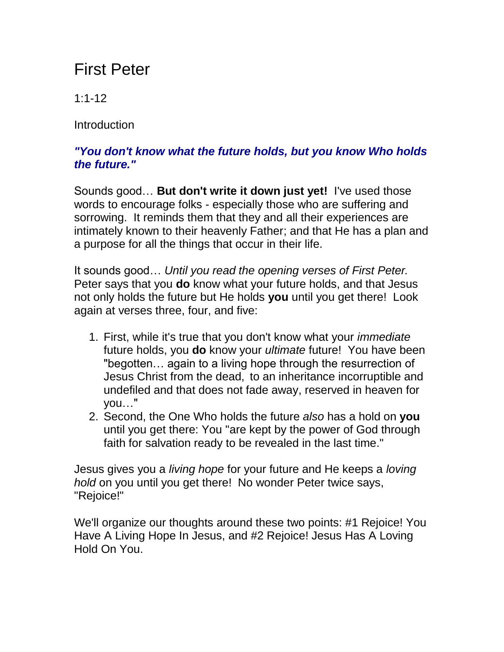## First Peter

1:1-12

**Introduction** 

## *"You don't know what the future holds, but you know Who holds the future."*

Sounds good… **But don't write it down just yet!** I've used those words to encourage folks - especially those who are suffering and sorrowing. It reminds them that they and all their experiences are intimately known to their heavenly Father; and that He has a plan and a purpose for all the things that occur in their life.

It sounds good… *Until you read the opening verses of First Peter.* Peter says that you **do** know what your future holds, and that Jesus not only holds the future but He holds **you** until you get there! Look again at verses three, four, and five:

- 1. First, while it's true that you don't know what your *immediate* future holds, you **do** know your *ultimate* future! You have been "begotten… again to a living hope through the resurrection of Jesus Christ from the dead, to an inheritance incorruptible and undefiled and that does not fade away, reserved in heaven for you…"
- 2. Second, the One Who holds the future *also* has a hold on **you** until you get there: You "are kept by the power of God through faith for salvation ready to be revealed in the last time."

Jesus gives you a *living hope* for your future and He keeps a *loving hold* on you until you get there! No wonder Peter twice says, "Rejoice!"

We'll organize our thoughts around these two points: #1 Rejoice! You Have A Living Hope In Jesus, and #2 Rejoice! Jesus Has A Loving Hold On You.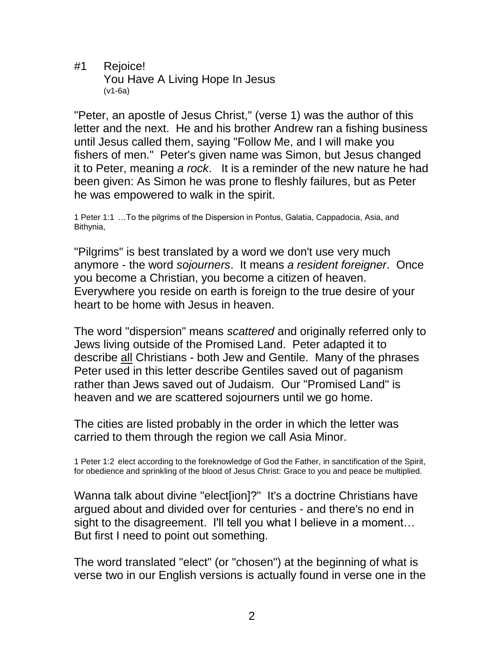#1 Rejoice! You Have A Living Hope In Jesus (v1-6a)

"Peter, an apostle of Jesus Christ," (verse 1) was the author of this letter and the next. He and his brother Andrew ran a fishing business until Jesus called them, saying "Follow Me, and I will make you fishers of men." Peter's given name was Simon, but Jesus changed it to Peter, meaning *a rock*. It is a reminder of the new nature he had been given: As Simon he was prone to fleshly failures, but as Peter he was empowered to walk in the spirit.

1 Peter 1:1 …To the pilgrims of the Dispersion in Pontus, Galatia, Cappadocia, Asia, and Bithynia,

"Pilgrims" is best translated by a word we don't use very much anymore - the word *sojourners*. It means *a resident foreigner*. Once you become a Christian, you become a citizen of heaven. Everywhere you reside on earth is foreign to the true desire of your heart to be home with Jesus in heaven.

The word "dispersion" means *scattered* and originally referred only to Jews living outside of the Promised Land. Peter adapted it to describe all Christians - both Jew and Gentile. Many of the phrases Peter used in this letter describe Gentiles saved out of paganism rather than Jews saved out of Judaism. Our "Promised Land" is heaven and we are scattered sojourners until we go home.

The cities are listed probably in the order in which the letter was carried to them through the region we call Asia Minor.

1 Peter 1:2 elect according to the foreknowledge of God the Father, in sanctification of the Spirit, for obedience and sprinkling of the blood of Jesus Christ: Grace to you and peace be multiplied.

Wanna talk about divine "elect[ion]?" It's a doctrine Christians have argued about and divided over for centuries - and there's no end in sight to the disagreement. I'll tell you what I believe in a moment... But first I need to point out something.

The word translated "elect" (or "chosen") at the beginning of what is verse two in our English versions is actually found in verse one in the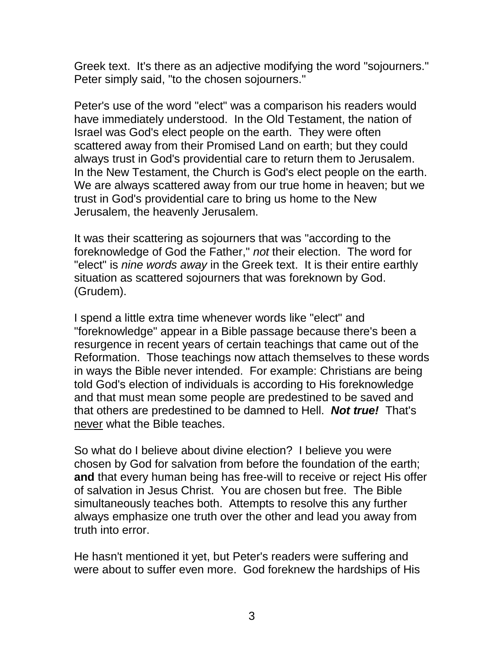Greek text. It's there as an adjective modifying the word "sojourners." Peter simply said, "to the chosen sojourners."

Peter's use of the word "elect" was a comparison his readers would have immediately understood. In the Old Testament, the nation of Israel was God's elect people on the earth. They were often scattered away from their Promised Land on earth; but they could always trust in God's providential care to return them to Jerusalem. In the New Testament, the Church is God's elect people on the earth. We are always scattered away from our true home in heaven; but we trust in God's providential care to bring us home to the New Jerusalem, the heavenly Jerusalem.

It was their scattering as sojourners that was "according to the foreknowledge of God the Father," *not* their election. The word for "elect" is *nine words away* in the Greek text. It is their entire earthly situation as scattered sojourners that was foreknown by God. (Grudem).

I spend a little extra time whenever words like "elect" and "foreknowledge" appear in a Bible passage because there's been a resurgence in recent years of certain teachings that came out of the Reformation. Those teachings now attach themselves to these words in ways the Bible never intended. For example: Christians are being told God's election of individuals is according to His foreknowledge and that must mean some people are predestined to be saved and that others are predestined to be damned to Hell. *Not true!* That's never what the Bible teaches.

So what do I believe about divine election? I believe you were chosen by God for salvation from before the foundation of the earth; **and** that every human being has free-will to receive or reject His offer of salvation in Jesus Christ. You are chosen but free. The Bible simultaneously teaches both. Attempts to resolve this any further always emphasize one truth over the other and lead you away from truth into error.

He hasn't mentioned it yet, but Peter's readers were suffering and were about to suffer even more. God foreknew the hardships of His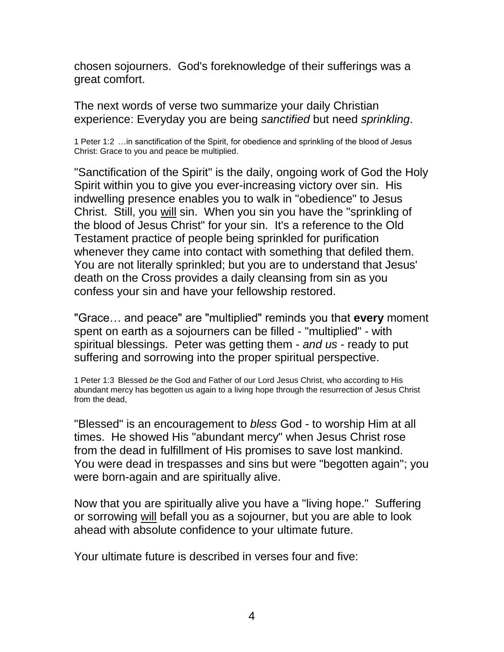chosen sojourners. God's foreknowledge of their sufferings was a great comfort.

The next words of verse two summarize your daily Christian experience: Everyday you are being *sanctified* but need *sprinkling*.

1 Peter 1:2 …in sanctification of the Spirit, for obedience and sprinkling of the blood of Jesus Christ: Grace to you and peace be multiplied.

"Sanctification of the Spirit" is the daily, ongoing work of God the Holy Spirit within you to give you ever-increasing victory over sin. His indwelling presence enables you to walk in "obedience" to Jesus Christ. Still, you will sin. When you sin you have the "sprinkling of the blood of Jesus Christ" for your sin. It's a reference to the Old Testament practice of people being sprinkled for purification whenever they came into contact with something that defiled them. You are not literally sprinkled; but you are to understand that Jesus' death on the Cross provides a daily cleansing from sin as you confess your sin and have your fellowship restored.

"Grace… and peace" are "multiplied" reminds you that **every** moment spent on earth as a sojourners can be filled - "multiplied" - with spiritual blessings. Peter was getting them - *and us* - ready to put suffering and sorrowing into the proper spiritual perspective.

1 Peter 1:3 Blessed *be* the God and Father of our Lord Jesus Christ, who according to His abundant mercy has begotten us again to a living hope through the resurrection of Jesus Christ from the dead,

"Blessed" is an encouragement to *bless* God - to worship Him at all times. He showed His "abundant mercy" when Jesus Christ rose from the dead in fulfillment of His promises to save lost mankind. You were dead in trespasses and sins but were "begotten again"; you were born-again and are spiritually alive.

Now that you are spiritually alive you have a "living hope." Suffering or sorrowing will befall you as a sojourner, but you are able to look ahead with absolute confidence to your ultimate future.

Your ultimate future is described in verses four and five: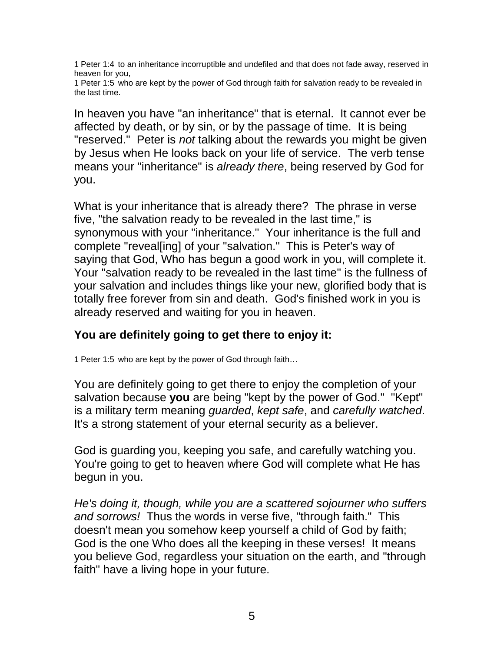1 Peter 1:4 to an inheritance incorruptible and undefiled and that does not fade away, reserved in heaven for you,

1 Peter 1:5 who are kept by the power of God through faith for salvation ready to be revealed in the last time.

In heaven you have "an inheritance" that is eternal. It cannot ever be affected by death, or by sin, or by the passage of time. It is being "reserved." Peter is *not* talking about the rewards you might be given by Jesus when He looks back on your life of service. The verb tense means your "inheritance" is *already there*, being reserved by God for you.

What is your inheritance that is already there? The phrase in verse five, "the salvation ready to be revealed in the last time," is synonymous with your "inheritance." Your inheritance is the full and complete "reveal[ing] of your "salvation." This is Peter's way of saying that God, Who has begun a good work in you, will complete it. Your "salvation ready to be revealed in the last time" is the fullness of your salvation and includes things like your new, glorified body that is totally free forever from sin and death. God's finished work in you is already reserved and waiting for you in heaven.

## **You are definitely going to get there to enjoy it:**

1 Peter 1:5 who are kept by the power of God through faith…

You are definitely going to get there to enjoy the completion of your salvation because **you** are being "kept by the power of God." "Kept" is a military term meaning *guarded*, *kept safe*, and *carefully watched*. It's a strong statement of your eternal security as a believer.

God is guarding you, keeping you safe, and carefully watching you. You're going to get to heaven where God will complete what He has begun in you.

*He's doing it, though, while you are a scattered sojourner who suffers and sorrows!* Thus the words in verse five, "through faith." This doesn't mean you somehow keep yourself a child of God by faith; God is the one Who does all the keeping in these verses! It means you believe God, regardless your situation on the earth, and "through faith" have a living hope in your future.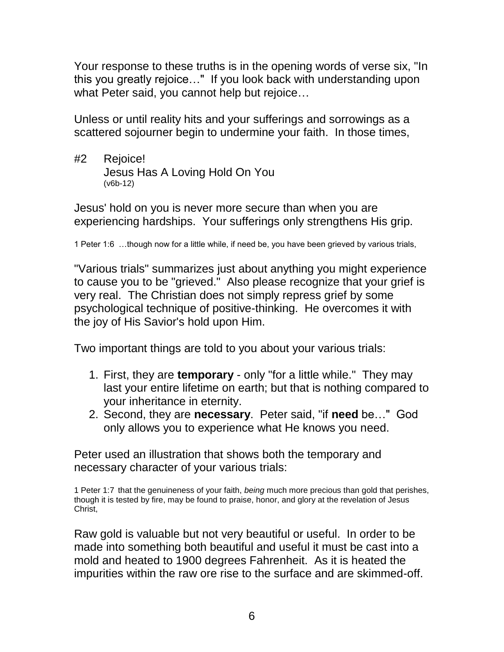Your response to these truths is in the opening words of verse six, "In this you greatly rejoice…" If you look back with understanding upon what Peter said, you cannot help but rejoice…

Unless or until reality hits and your sufferings and sorrowings as a scattered sojourner begin to undermine your faith. In those times,

#2 Rejoice! Jesus Has A Loving Hold On You (v6b-12)

Jesus' hold on you is never more secure than when you are experiencing hardships. Your sufferings only strengthens His grip.

1 Peter 1:6 …though now for a little while, if need be, you have been grieved by various trials,

"Various trials" summarizes just about anything you might experience to cause you to be "grieved." Also please recognize that your grief is very real. The Christian does not simply repress grief by some psychological technique of positive-thinking. He overcomes it with the joy of His Savior's hold upon Him.

Two important things are told to you about your various trials:

- 1. First, they are **temporary** only "for a little while." They may last your entire lifetime on earth; but that is nothing compared to your inheritance in eternity.
- 2. Second, they are **necessary**. Peter said, "if **need** be…" God only allows you to experience what He knows you need.

Peter used an illustration that shows both the temporary and necessary character of your various trials:

1 Peter 1:7 that the genuineness of your faith, *being* much more precious than gold that perishes, though it is tested by fire, may be found to praise, honor, and glory at the revelation of Jesus Christ,

Raw gold is valuable but not very beautiful or useful. In order to be made into something both beautiful and useful it must be cast into a mold and heated to 1900 degrees Fahrenheit. As it is heated the impurities within the raw ore rise to the surface and are skimmed-off.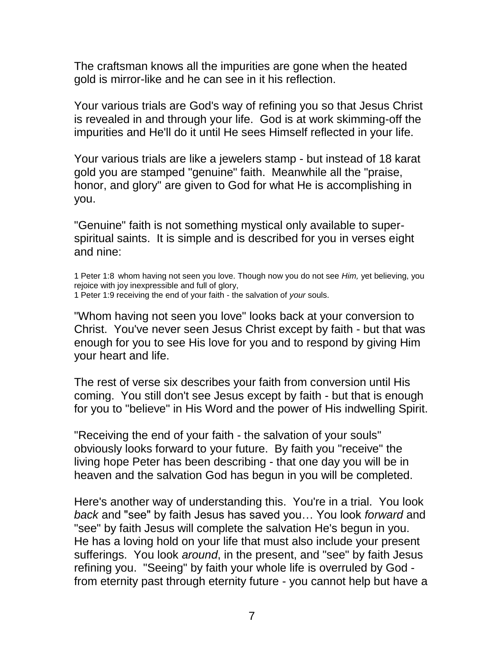The craftsman knows all the impurities are gone when the heated gold is mirror-like and he can see in it his reflection.

Your various trials are God's way of refining you so that Jesus Christ is revealed in and through your life. God is at work skimming-off the impurities and He'll do it until He sees Himself reflected in your life.

Your various trials are like a jewelers stamp - but instead of 18 karat gold you are stamped "genuine" faith. Meanwhile all the "praise, honor, and glory" are given to God for what He is accomplishing in you.

"Genuine" faith is not something mystical only available to superspiritual saints. It is simple and is described for you in verses eight and nine:

1 Peter 1:8 whom having not seen you love. Though now you do not see *Him,* yet believing, you rejoice with joy inexpressible and full of glory,

1 Peter 1:9 receiving the end of your faith - the salvation of *your* souls.

"Whom having not seen you love" looks back at your conversion to Christ. You've never seen Jesus Christ except by faith - but that was enough for you to see His love for you and to respond by giving Him your heart and life.

The rest of verse six describes your faith from conversion until His coming. You still don't see Jesus except by faith - but that is enough for you to "believe" in His Word and the power of His indwelling Spirit.

"Receiving the end of your faith - the salvation of your souls" obviously looks forward to your future. By faith you "receive" the living hope Peter has been describing - that one day you will be in heaven and the salvation God has begun in you will be completed.

Here's another way of understanding this. You're in a trial. You look *back* and "see" by faith Jesus has saved you… You look *forward* and "see" by faith Jesus will complete the salvation He's begun in you. He has a loving hold on your life that must also include your present sufferings. You look *around*, in the present, and "see" by faith Jesus refining you. "Seeing" by faith your whole life is overruled by God from eternity past through eternity future - you cannot help but have a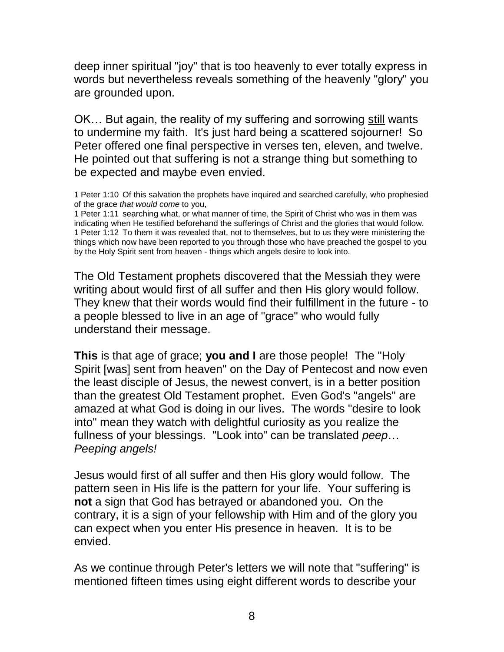deep inner spiritual "joy" that is too heavenly to ever totally express in words but nevertheless reveals something of the heavenly "glory" you are grounded upon.

OK… But again, the reality of my suffering and sorrowing still wants to undermine my faith. It's just hard being a scattered sojourner! So Peter offered one final perspective in verses ten, eleven, and twelve. He pointed out that suffering is not a strange thing but something to be expected and maybe even envied.

1 Peter 1:10 Of this salvation the prophets have inquired and searched carefully, who prophesied of the grace *that would come* to you,

1 Peter 1:11 searching what, or what manner of time, the Spirit of Christ who was in them was indicating when He testified beforehand the sufferings of Christ and the glories that would follow. 1 Peter 1:12 To them it was revealed that, not to themselves, but to us they were ministering the things which now have been reported to you through those who have preached the gospel to you by the Holy Spirit sent from heaven - things which angels desire to look into.

The Old Testament prophets discovered that the Messiah they were writing about would first of all suffer and then His glory would follow. They knew that their words would find their fulfillment in the future - to a people blessed to live in an age of "grace" who would fully understand their message.

**This** is that age of grace; **you and I** are those people! The "Holy Spirit [was] sent from heaven" on the Day of Pentecost and now even the least disciple of Jesus, the newest convert, is in a better position than the greatest Old Testament prophet. Even God's "angels" are amazed at what God is doing in our lives. The words "desire to look into" mean they watch with delightful curiosity as you realize the fullness of your blessings. "Look into" can be translated *peep*… *Peeping angels!*

Jesus would first of all suffer and then His glory would follow. The pattern seen in His life is the pattern for your life. Your suffering is **not** a sign that God has betrayed or abandoned you. On the contrary, it is a sign of your fellowship with Him and of the glory you can expect when you enter His presence in heaven. It is to be envied.

As we continue through Peter's letters we will note that "suffering" is mentioned fifteen times using eight different words to describe your